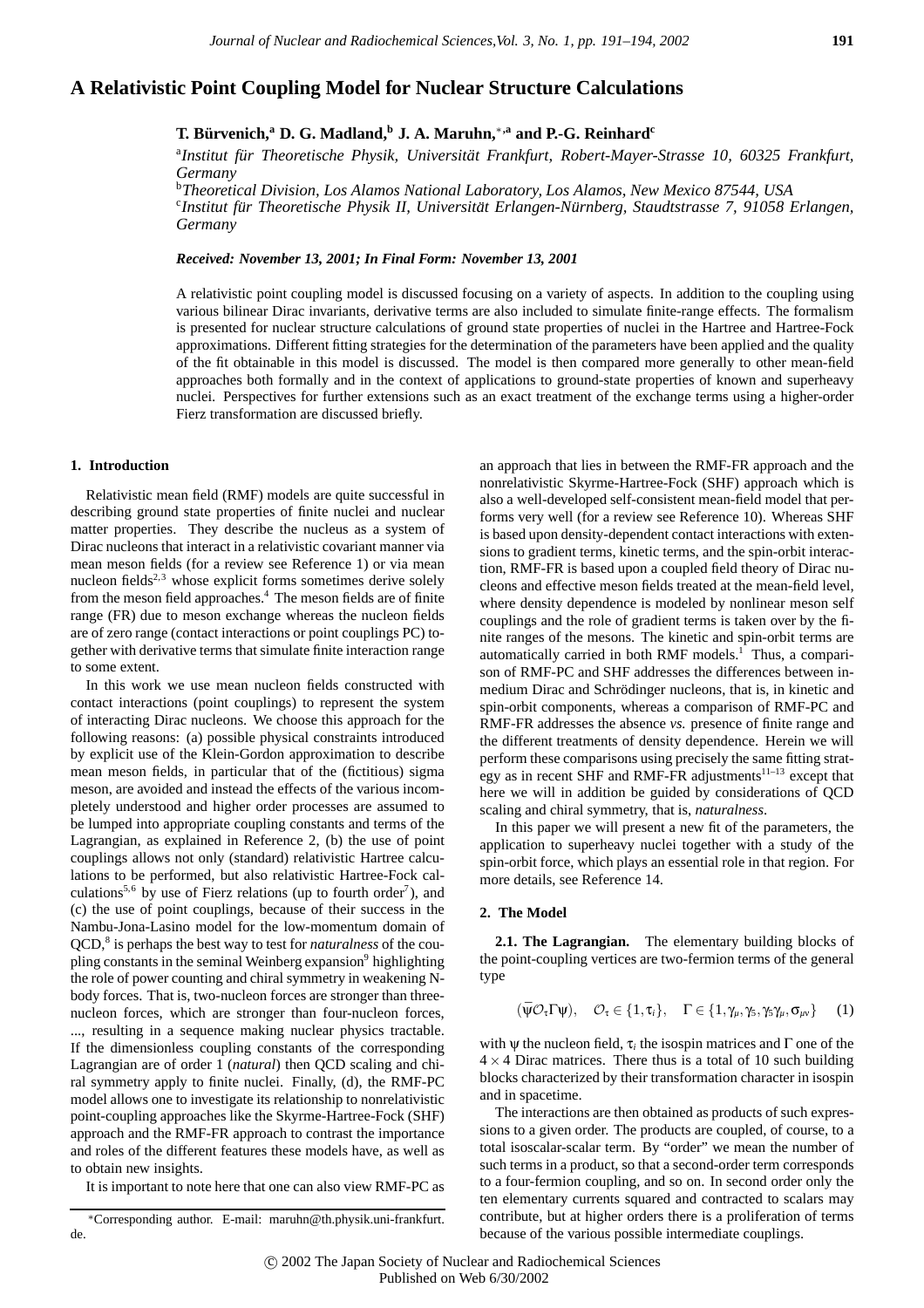# **A Relativistic Point Coupling Model for Nuclear Structure Calculations**

**T. Bürvenich,<sup>a</sup> D. G. Madland,<sup>b</sup> J. A. Maruhn,<sup>∗,a</sup> and P.-G. Reinhard<sup>c</sup>** 

<sup>a</sup>Institut für Theoretische Physik, Universität Frankfurt, Robert-Mayer-Strasse 10, 60325 Frankfurt, *Germany*

b *Theoretical Division, Los Alamos National Laboratory, Los Alamos, New Mexico 87544, USA* c *Institut fur Theoretische Physik II, Universit ¨ at Erlangen-N ¨ urnberg, Staudtstrasse 7, 91058 Erlangen, ¨ Germany*

*Received: November 13, 2001; In Final Form: November 13, 2001*

A relativistic point coupling model is discussed focusing on a variety of aspects. In addition to the coupling using various bilinear Dirac invariants, derivative terms are also included to simulate finite-range effects. The formalism is presented for nuclear structure calculations of ground state properties of nuclei in the Hartree and Hartree-Fock approximations. Different fitting strategies for the determination of the parameters have been applied and the quality of the fit obtainable in this model is discussed. The model is then compared more generally to other mean-field approaches both formally and in the context of applications to ground-state properties of known and superheavy nuclei. Perspectives for further extensions such as an exact treatment of the exchange terms using a higher-order Fierz transformation are discussed briefly.

### **1. Introduction**

Relativistic mean field (RMF) models are quite successful in describing ground state properties of finite nuclei and nuclear matter properties. They describe the nucleus as a system of Dirac nucleons that interact in a relativistic covariant manner via mean meson fields (for a review see Reference 1) or via mean nucleon fields<sup>2,3</sup> whose explicit forms sometimes derive solely from the meson field approaches.<sup>4</sup> The meson fields are of finite range (FR) due to meson exchange whereas the nucleon fields are of zero range (contact interactions or point couplings PC) together with derivative terms that simulate finite interaction range to some extent.

In this work we use mean nucleon fields constructed with contact interactions (point couplings) to represent the system of interacting Dirac nucleons. We choose this approach for the following reasons: (a) possible physical constraints introduced by explicit use of the Klein-Gordon approximation to describe mean meson fields, in particular that of the (fictitious) sigma meson, are avoided and instead the effects of the various incompletely understood and higher order processes are assumed to be lumped into appropriate coupling constants and terms of the Lagrangian, as explained in Reference 2, (b) the use of point couplings allows not only (standard) relativistic Hartree calculations to be performed, but also relativistic Hartree-Fock calculations<sup>5,6</sup> by use of Fierz relations (up to fourth order<sup>7</sup>), and (c) the use of point couplings, because of their success in the Nambu-Jona-Lasino model for the low-momentum domain of QCD,<sup>8</sup> is perhaps the best way to test for *naturalness* of the coupling constants in the seminal Weinberg expansion<sup>9</sup> highlighting the role of power counting and chiral symmetry in weakening Nbody forces. That is, two-nucleon forces are stronger than threenucleon forces, which are stronger than four-nucleon forces, ..., resulting in a sequence making nuclear physics tractable. If the dimensionless coupling constants of the corresponding Lagrangian are of order 1 (*natural*) then QCD scaling and chiral symmetry apply to finite nuclei. Finally, (d), the RMF-PC model allows one to investigate its relationship to nonrelativistic point-coupling approaches like the Skyrme-Hartree-Fock (SHF) approach and the RMF-FR approach to contrast the importance and roles of the different features these models have, as well as to obtain new insights.

It is important to note here that one can also view RMF-PC as

an approach that lies in between the RMF-FR approach and the nonrelativistic Skyrme-Hartree-Fock (SHF) approach which is also a well-developed self-consistent mean-field model that performs very well (for a review see Reference 10). Whereas SHF is based upon density-dependent contact interactions with extensions to gradient terms, kinetic terms, and the spin-orbit interaction, RMF-FR is based upon a coupled field theory of Dirac nucleons and effective meson fields treated at the mean-field level, where density dependence is modeled by nonlinear meson self couplings and the role of gradient terms is taken over by the finite ranges of the mesons. The kinetic and spin-orbit terms are automatically carried in both RMF models.<sup>1</sup> Thus, a comparison of RMF-PC and SHF addresses the differences between inmedium Dirac and Schrödinger nucleons, that is, in kinetic and spin-orbit components, whereas a comparison of RMF-PC and RMF-FR addresses the absence *vs.* presence of finite range and the different treatments of density dependence. Herein we will perform these comparisons using precisely the same fitting strategy as in recent SHF and RMF-FR adjustments<sup>11–13</sup> except that here we will in addition be guided by considerations of QCD scaling and chiral symmetry, that is, *naturalness*.

In this paper we will present a new fit of the parameters, the application to superheavy nuclei together with a study of the spin-orbit force, which plays an essential role in that region. For more details, see Reference 14.

#### **2. The Model**

**2.1. The Lagrangian.** The elementary building blocks of the point-coupling vertices are two-fermion terms of the general type

$$
(\bar{\psi}\mathcal{O}_{\tau}\Gamma\psi), \quad \mathcal{O}_{\tau}\in\{1,\tau_{i}\}, \quad \Gamma\in\{1,\gamma_{\mu},\gamma_{5},\gamma_{5}\gamma_{\mu},\sigma_{\mu\nu}\}\qquad(1)
$$

with  $\psi$  the nucleon field,  $\tau_i$  the isospin matrices and  $\Gamma$  one of the  $4 \times 4$  Dirac matrices. There thus is a total of 10 such building blocks characterized by their transformation character in isospin and in spacetime.

The interactions are then obtained as products of such expressions to a given order. The products are coupled, of course, to a total isoscalar-scalar term. By "order" we mean the number of such terms in a product, so that a second-order term corresponds to a four-fermion coupling, and so on. In second order only the ten elementary currents squared and contracted to scalars may contribute, but at higher orders there is a proliferation of terms because of the various possible intermediate couplings.

<sup>∗</sup>Corresponding author. E-mail: maruhn@th.physik.uni-frankfurt. de.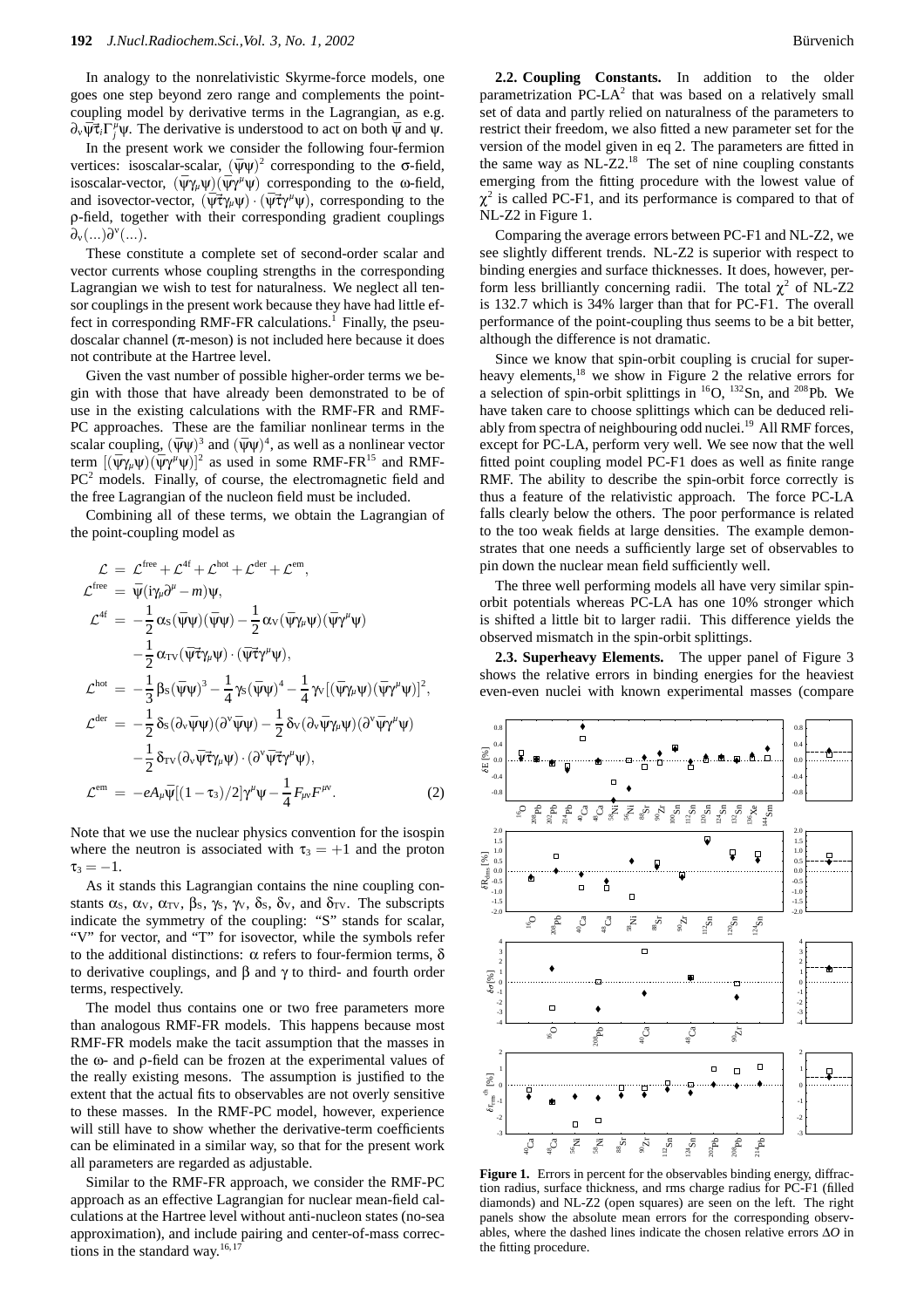In analogy to the nonrelativistic Skyrme-force models, one goes one step beyond zero range and complements the pointcoupling model by derivative terms in the Lagrangian, as e.g.  $\partial_{\nu} \bar{\psi} \vec{\tau}_i \Gamma_j^{\mu} \psi$ . The derivative is understood to act on both  $\bar{\psi}$  and  $\psi$ .

In the present work we consider the following four-fermion vertices: isoscalar-scalar,  $(\bar{\psi}\psi)^2$  corresponding to the  $\sigma$ -field, isoscalar-vector,  $(\bar{\psi}\gamma_\mu\psi)(\bar{\psi}\gamma^\mu\psi)$  corresponding to the  $\omega$ -field, and isovector-vector,  $(\bar{\psi} \vec{\tau} \gamma_{\mu} \psi) \cdot (\bar{\psi} \vec{\tau} \gamma^{\mu} \psi)$ , corresponding to the ρ-field, together with their corresponding gradient couplings  $\partial_{\nu}(...)\partial^{\nu}(...).$ 

These constitute a complete set of second-order scalar and vector currents whose coupling strengths in the corresponding Lagrangian we wish to test for naturalness. We neglect all tensor couplings in the present work because they have had little effect in corresponding RMF-FR calculations.<sup>1</sup> Finally, the pseudoscalar channel ( $\pi$ -meson) is not included here because it does not contribute at the Hartree level.

Given the vast number of possible higher-order terms we begin with those that have already been demonstrated to be of use in the existing calculations with the RMF-FR and RMF-PC approaches. These are the familiar nonlinear terms in the scalar coupling,  $(\bar{\psi}\psi)^3$  and  $(\bar{\psi}\psi)^4$ , as well as a nonlinear vector term  $[(\bar{\psi}\gamma_\mu\psi)(\bar{\psi}\gamma^\mu\psi)]^2$  as used in some RMF-FR<sup>15</sup> and RMF-PC<sup>2</sup> models. Finally, of course, the electromagnetic field and the free Lagrangian of the nucleon field must be included.

Combining all of these terms, we obtain the Lagrangian of the point-coupling model as

$$
\mathcal{L} = \mathcal{L}^{\text{free}} + \mathcal{L}^{\text{4f}} + \mathcal{L}^{\text{bot}} + \mathcal{L}^{\text{der}} + \mathcal{L}^{\text{em}},
$$
\n
$$
\mathcal{L}^{\text{free}} = \bar{\Psi}(i\gamma_{\mu}\partial^{\mu} - m)\Psi,
$$
\n
$$
\mathcal{L}^{\text{4f}} = -\frac{1}{2}\alpha_{\text{S}}(\bar{\Psi}\Psi)(\bar{\Psi}\Psi) - \frac{1}{2}\alpha_{\text{V}}(\bar{\Psi}\gamma_{\mu}\Psi)(\bar{\Psi}\gamma^{\mu}\Psi)
$$
\n
$$
-\frac{1}{2}\alpha_{\text{TV}}(\bar{\Psi}\vec{\tau}\gamma_{\mu}\Psi) \cdot (\bar{\Psi}\vec{\tau}\gamma^{\mu}\Psi),
$$
\n
$$
\mathcal{L}^{\text{hot}} = -\frac{1}{3}\beta_{\text{S}}(\bar{\Psi}\Psi)^{3} - \frac{1}{4}\gamma_{\text{S}}(\bar{\Psi}\Psi)^{4} - \frac{1}{4}\gamma_{\text{V}}[(\bar{\Psi}\gamma_{\mu}\Psi)(\bar{\Psi}\gamma^{\mu}\Psi)]^{2},
$$
\n
$$
\mathcal{L}^{\text{der}} = -\frac{1}{2}\delta_{\text{S}}(\partial_{\text{V}}\bar{\Psi}\Psi)(\partial^{\text{V}}\bar{\Psi}\Psi) - \frac{1}{2}\delta_{\text{V}}(\partial_{\text{V}}\bar{\Psi}\gamma_{\mu}\Psi)(\partial^{\text{V}}\bar{\Psi}\gamma^{\mu}\Psi)
$$
\n
$$
-\frac{1}{2}\delta_{\text{TV}}(\partial_{\text{V}}\bar{\Psi}\vec{\tau}\gamma_{\mu}\Psi) \cdot (\partial^{\text{V}}\bar{\Psi}\vec{\tau}\gamma^{\mu}\Psi),
$$
\n
$$
\mathcal{L}^{\text{em}} = -eA_{\mu}\bar{\Psi}[(1-\tau_{3})/2]\gamma^{\mu}\Psi - \frac{1}{4}F_{\mu\nu}F^{\mu\nu}.
$$
\n(2)

Note that we use the nuclear physics convention for the isospin where the neutron is associated with  $\tau_3 = +1$  and the proton  $\tau_3 = -1.$ 

As it stands this Lagrangian contains the nine coupling constants  $\alpha_s$ ,  $\alpha_v$ ,  $\alpha_{\text{TV}}$ ,  $\beta_s$ ,  $\gamma_s$ ,  $\gamma_v$ ,  $\delta_s$ ,  $\delta_v$ , and  $\delta_{\text{TV}}$ . The subscripts indicate the symmetry of the coupling: "S" stands for scalar, "V" for vector, and "T" for isovector, while the symbols refer to the additional distinctions: α refers to four-fermion terms, δ to derivative couplings, and β and γ to third- and fourth order terms, respectively.

The model thus contains one or two free parameters more than analogous RMF-FR models. This happens because most RMF-FR models make the tacit assumption that the masses in the ω- and ρ-field can be frozen at the experimental values of the really existing mesons. The assumption is justified to the extent that the actual fits to observables are not overly sensitive to these masses. In the RMF-PC model, however, experience will still have to show whether the derivative-term coefficients can be eliminated in a similar way, so that for the present work all parameters are regarded as adjustable.

Similar to the RMF-FR approach, we consider the RMF-PC approach as an effective Lagrangian for nuclear mean-field calculations at the Hartree level without anti-nucleon states (no-sea approximation), and include pairing and center-of-mass corrections in the standard way.<sup>16,17</sup>

**2.2. Coupling Constants.** In addition to the older parametrization PC-L $A^2$  that was based on a relatively small set of data and partly relied on naturalness of the parameters to restrict their freedom, we also fitted a new parameter set for the version of the model given in eq 2. The parameters are fitted in the same way as  $NL-Z2<sup>18</sup>$ . The set of nine coupling constants emerging from the fitting procedure with the lowest value of  $\chi^2$  is called PC-F1, and its performance is compared to that of NL-Z2 in Figure 1.

Comparing the average errors between PC-F1 and NL-Z2, we see slightly different trends. NL-Z2 is superior with respect to binding energies and surface thicknesses. It does, however, perform less brilliantly concerning radii. The total  $\chi^2$  of NL-Z2 is 132.7 which is 34% larger than that for PC-F1. The overall performance of the point-coupling thus seems to be a bit better, although the difference is not dramatic.

Since we know that spin-orbit coupling is crucial for superheavy elements,<sup>18</sup> we show in Figure 2 the relative errors for a selection of spin-orbit splittings in  ${}^{16}O$ ,  ${}^{132}Sn$ , and  ${}^{208}Pb$ . We have taken care to choose splittings which can be deduced reliably from spectra of neighbouring odd nuclei.<sup>19</sup> All RMF forces, except for PC-LA, perform very well. We see now that the well fitted point coupling model PC-F1 does as well as finite range RMF. The ability to describe the spin-orbit force correctly is thus a feature of the relativistic approach. The force PC-LA falls clearly below the others. The poor performance is related to the too weak fields at large densities. The example demonstrates that one needs a sufficiently large set of observables to pin down the nuclear mean field sufficiently well.

The three well performing models all have very similar spinorbit potentials whereas PC-LA has one 10% stronger which is shifted a little bit to larger radii. This difference yields the observed mismatch in the spin-orbit splittings.

**2.3. Superheavy Elements.** The upper panel of Figure 3 shows the relative errors in binding energies for the heaviest even-even nuclei with known experimental masses (compare



Figure 1. Errors in percent for the observables binding energy, diffraction radius, surface thickness, and rms charge radius for PC-F1 (filled diamonds) and NL-Z2 (open squares) are seen on the left. The right panels show the absolute mean errors for the corresponding observables, where the dashed lines indicate the chosen relative errors ∆*O* in the fitting procedure.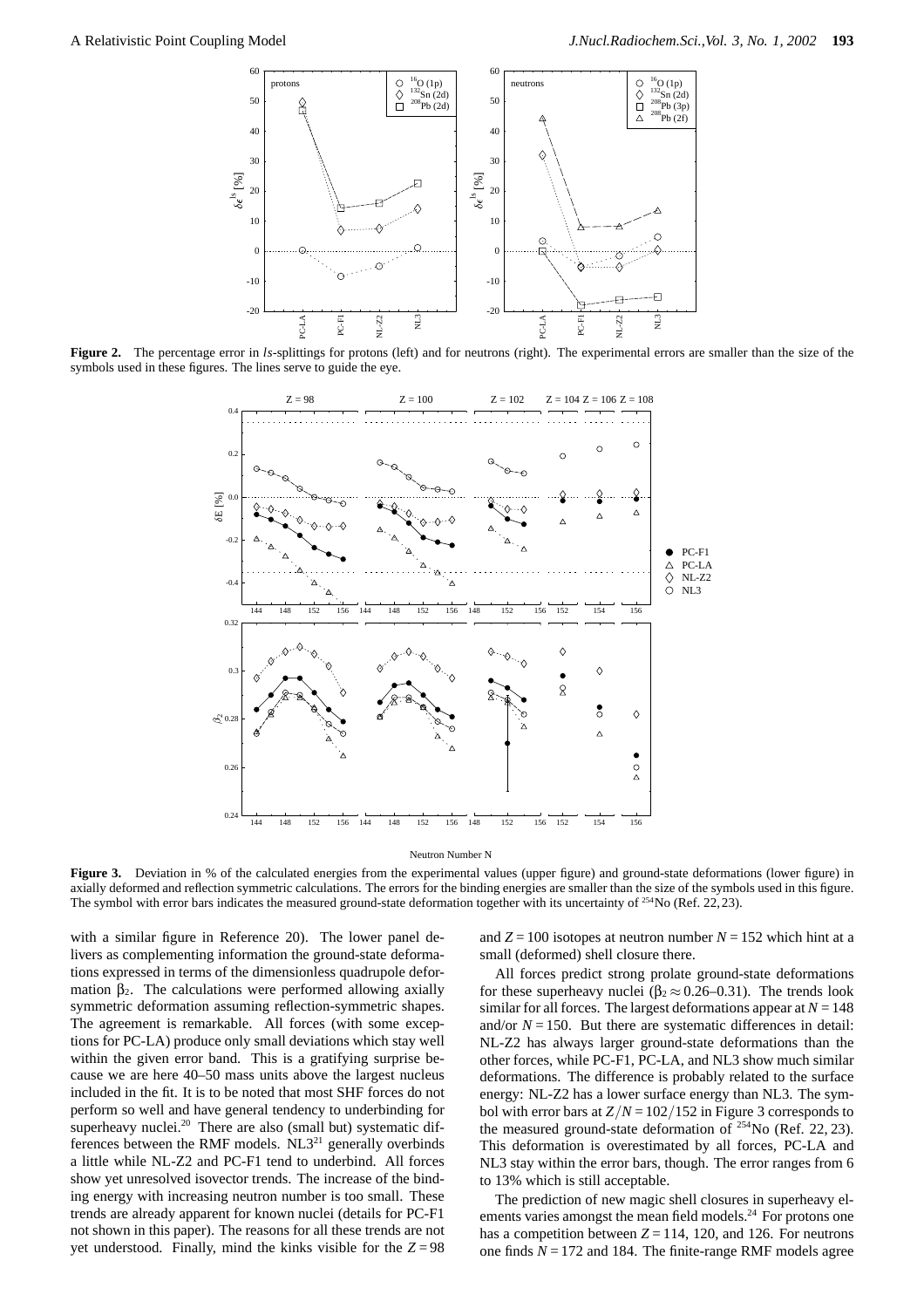

Figure 2. The percentage error in *ls*-splittings for protons (left) and for neutrons (right). The experimental errors are smaller than the size of the symbols used in these figures. The lines serve to guide the eye.



Neutron Number N

**Figure 3.** Deviation in % of the calculated energies from the experimental values (upper figure) and ground-state deformations (lower figure) in axially deformed and reflection symmetric calculations. The errors for the binding energies are smaller than the size of the symbols used in this figure. The symbol with error bars indicates the measured ground-state deformation together with its uncertainty of <sup>254</sup>No (Ref. 22, 23).

with a similar figure in Reference 20). The lower panel delivers as complementing information the ground-state deformations expressed in terms of the dimensionless quadrupole deformation  $\beta_2$ . The calculations were performed allowing axially symmetric deformation assuming reflection-symmetric shapes. The agreement is remarkable. All forces (with some exceptions for PC-LA) produce only small deviations which stay well within the given error band. This is a gratifying surprise because we are here 40–50 mass units above the largest nucleus included in the fit. It is to be noted that most SHF forces do not perform so well and have general tendency to underbinding for superheavy nuclei.<sup>20</sup> There are also (small but) systematic differences between the RMF models.  $NL3^{21}$  generally overbinds a little while NL-Z2 and PC-F1 tend to underbind. All forces show yet unresolved isovector trends. The increase of the binding energy with increasing neutron number is too small. These trends are already apparent for known nuclei (details for PC-F1 not shown in this paper). The reasons for all these trends are not yet understood. Finally, mind the kinks visible for the  $Z = 98$  and  $Z = 100$  isotopes at neutron number  $N = 152$  which hint at a small (deformed) shell closure there.

All forces predict strong prolate ground-state deformations for these superheavy nuclei ( $\beta_2 \approx 0.26 - 0.31$ ). The trends look similar for all forces. The largest deformations appear at  $N = 148$ and/or  $N = 150$ . But there are systematic differences in detail: NL-Z2 has always larger ground-state deformations than the other forces, while PC-F1, PC-LA, and NL3 show much similar deformations. The difference is probably related to the surface energy: NL-Z2 has a lower surface energy than NL3. The symbol with error bars at  $Z/N = 102/152$  in Figure 3 corresponds to the measured ground-state deformation of  $^{254}$ No (Ref. 22, 23). This deformation is overestimated by all forces, PC-LA and NL3 stay within the error bars, though. The error ranges from 6 to 13% which is still acceptable.

The prediction of new magic shell closures in superheavy elements varies amongst the mean field models.<sup>24</sup> For protons one has a competition between  $Z = 114$ , 120, and 126. For neutrons one finds  $N = 172$  and 184. The finite-range RMF models agree